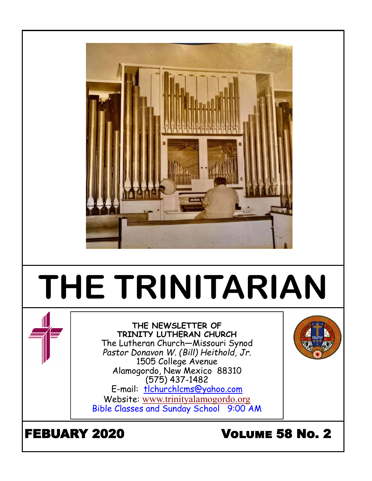

# **THE TRINITARIAN**

**THE NEWSLETTER OF TRINITY LUTHERAN CHURCH** The Lutheran Church—Missouri Synod *Pastor Donavon W. (Bill) Heithold, Jr.* 1505 College Avenue Alamogordo, New Mexico 88310 (575) 437-1482 E-mail: tlchurchlcms@yahoo.com Website: [www.trinityalamogordo.org](http://www.tlcalamogordo/)

Bible Classes and Sunday School 9:00 AM

## FEBUARY 2020 Volume 58 No. 2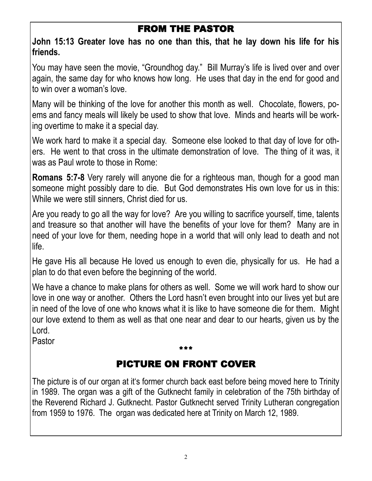## FROM THE PASTOR

**John 15:13 Greater love has no one than this, that he lay down his life for his friends.**

You may have seen the movie, "Groundhog day." Bill Murray's life is lived over and over again, the same day for who knows how long. He uses that day in the end for good and to win over a woman's love.

Many will be thinking of the love for another this month as well. Chocolate, flowers, poems and fancy meals will likely be used to show that love. Minds and hearts will be working overtime to make it a special day.

We work hard to make it a special day. Someone else looked to that day of love for others. He went to that cross in the ultimate demonstration of love. The thing of it was, it was as Paul wrote to those in Rome:

**Romans 5:7-8** Very rarely will anyone die for a righteous man, though for a good man someone might possibly dare to die. But God demonstrates His own love for us in this: While we were still sinners, Christ died for us.

Are you ready to go all the way for love? Are you willing to sacrifice yourself, time, talents and treasure so that another will have the benefits of your love for them? Many are in need of your love for them, needing hope in a world that will only lead to death and not life.

He gave His all because He loved us enough to even die, physically for us. He had a plan to do that even before the beginning of the world.

We have a chance to make plans for others as well. Some we will work hard to show our love in one way or another. Others the Lord hasn't even brought into our lives yet but are in need of the love of one who knows what it is like to have someone die for them. Might our love extend to them as well as that one near and dear to our hearts, given us by the Lord.

Pastor

## PICTURE ON FRONT COVER

\*\*\*

The picture is of our organ at it's former church back east before being moved here to Trinity in 1989. The organ was a gift of the Gutknecht family in celebration of the 75th birthday of the Reverend Richard J. Gutknecht. Pastor Gutknecht served Trinity Lutheran congregation from 1959 to 1976. The organ was dedicated here at Trinity on March 12, 1989.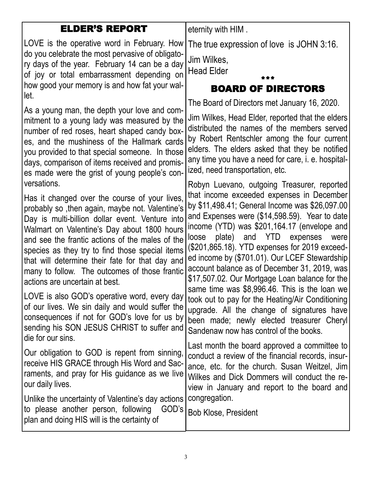### ELDER'S REPORT

LOVE is the operative word in February. How do you celebrate the most pervasive of obligatory days of the year. February 14 can be a day of joy or total embarrassment depending on how good your memory is and how fat your wallet.

As a young man, the depth your love and commitment to a young lady was measured by the number of red roses, heart shaped candy boxes, and the mushiness of the Hallmark cards you provided to that special someone. In those days, comparison of items received and promises made were the grist of young people's conversations.

Has it changed over the course of your lives, probably so ,then again, maybe not. Valentine's Day is multi-billion dollar event. Venture into Walmart on Valentine's Day about 1800 hours and see the frantic actions of the males of the species as they try to find those special items that will determine their fate for that day and many to follow. The outcomes of those frantic actions are uncertain at best.

LOVE is also GOD's operative word, every day of our lives. We sin daily and would suffer the consequences if not for GOD's love for us by sending his SON JESUS CHRIST to suffer and die for our sins.

Our obligation to GOD is repent from sinning, receive HIS GRACE through His Word and Sacraments, and pray for His guidance as we live our daily lives.

Unlike the uncertainty of Valentine's day actions to please another person, following GOD's plan and doing HIS will is the certainty of congregation. Bob Klose, President

eternity with HIM .

The true expression of love is JOHN 3:16.

Jim Wilkes,

Head Elder

#### \*\*\* BOARD OF DIRECTORS

The Board of Directors met January 16, 2020.

Jim Wilkes, Head Elder, reported that the elders distributed the names of the members served by Robert Rentschler among the four current elders. The elders asked that they be notified any time you have a need for care, i. e. hospitalized, need transportation, etc.

Robyn Luevano, outgoing Treasurer, reported that income exceeded expenses in December by \$11,498.41; General Income was \$26,097.00 and Expenses were (\$14,598.59). Year to date income (YTD) was \$201,164.17 (envelope and loose plate) and YTD expenses were (\$201,865.18). YTD expenses for 2019 exceeded income by (\$701.01). Our LCEF Stewardship account balance as of December 31, 2019, was \$17,507.02. Our Mortgage Loan balance for the same time was \$8,996.46. This is the loan we took out to pay for the Heating/Air Conditioning upgrade. All the change of signatures have been made; newly elected treasurer Cheryl Sandenaw now has control of the books.

Last month the board approved a committee to conduct a review of the financial records, insurance, etc. for the church. Susan Weitzel, Jim Wilkes and Dick Dommers will conduct the review in January and report to the board and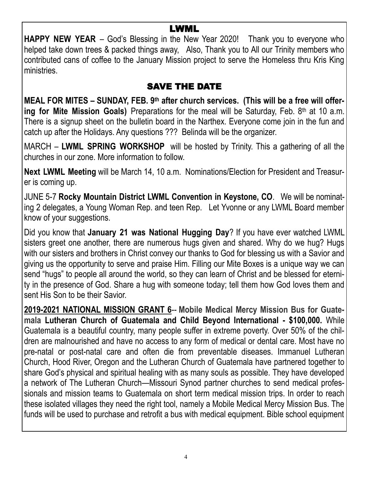4

LWML

**HAPPY NEW YEAR** – God's Blessing in the New Year 2020! Thank you to everyone who helped take down trees & packed things away, Also, Thank you to All our Trinity members who contributed cans of coffee to the January Mission project to serve the Homeless thru Kris King ministries.

#### SAVE THE DATE

**MEAL FOR MITES – SUNDAY, FEB. 9th after church services. (This will be a free will offering for Mite Mission Goals)** Preparations for the meal will be Saturday, Feb. 8<sup>th</sup> at 10 a.m. There is a signup sheet on the bulletin board in the Narthex. Everyone come join in the fun and catch up after the Holidays. Any questions ??? Belinda will be the organizer.

MARCH – **LWML SPRING WORKSHOP** will be hosted by Trinity. This a gathering of all the churches in our zone. More information to follow.

**Next LWML Meeting** will be March 14, 10 a.m. Nominations/Election for President and Treasurer is coming up.

JUNE 5-7 **Rocky Mountain District LWML Convention in Keystone, CO**. We will be nominating 2 delegates, a Young Woman Rep. and teen Rep. Let Yvonne or any LWML Board member know of your suggestions.

Did you know that **January 21 was National Hugging Day**? If you have ever watched LWML sisters greet one another, there are numerous hugs given and shared. Why do we hug? Hugs with our sisters and brothers in Christ convey our thanks to God for blessing us with a Savior and giving us the opportunity to serve and praise Him. Filling our Mite Boxes is a unique way we can send "hugs" to people all around the world, so they can learn of Christ and be blessed for eternity in the presence of God. Share a hug with someone today; tell them how God loves them and sent His Son to be their Savior.

**2019-2021 NATIONAL MISSION GRANT 6**-- **Mobile Medical Mercy Mission Bus for Guatemala Lutheran Church of Guatemala and Child Beyond International - \$100,000.** While Guatemala is a beautiful country, many people suffer in extreme poverty. Over 50% of the children are malnourished and have no access to any form of medical or dental care. Most have no pre-natal or post-natal care and often die from preventable diseases. Immanuel Lutheran Church, Hood River, Oregon and the Lutheran Church of Guatemala have partnered together to share God's physical and spiritual healing with as many souls as possible. They have developed a network of The Lutheran Church—Missouri Synod partner churches to send medical professionals and mission teams to Guatemala on short term medical mission trips. In order to reach these isolated villages they need the right tool, namely a Mobile Medical Mercy Mission Bus. The funds will be used to purchase and retrofit a bus with medical equipment. Bible school equipment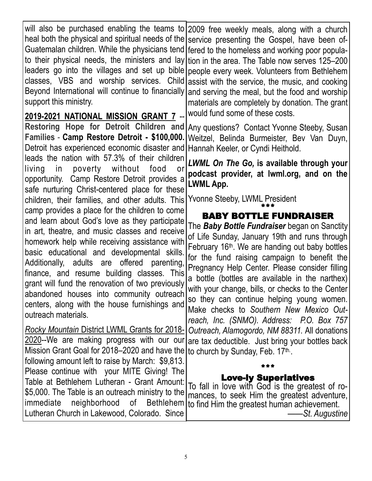will also be purchased enabling the teams to 2009 free weekly meals, along with a church heal both the physical and spiritual needs of the service presenting the Gospel, have been of-Guatemalan children. While the physicians tend fered to the homeless and working poor populato their physical needs, the ministers and lay leaders go into the villages and set up bible people every week. Volunteers from Bethlehem classes, VBS and worship services. Child Beyond International will continue to financially support this ministry. **2019-2021 NATIONAL MISSION GRANT 7** -- **Restoring Hope for Detroit Children and Families** - **Camp Restore Detroit - \$100,000.**  Detroit has experienced economic disaster and leads the nation with 57.3% of their children living in poverty without food or opportunity. Camp Restore Detroit provides a safe nurturing Christ-centered place for these children, their families, and other adults. This Yvonne Steeby, LWML President camp provides a place for the children to come and learn about God's love as they participate in art, theatre, and music classes and receive homework help while receiving assistance with basic educational and developmental skills. Additionally, adults are offered parenting, finance, and resume building classes. This grant will fund the renovation of two previously abandoned houses into community outreach centers, along with the house furnishings and outreach materials. *Rocky Mountain* District LWML Grants for 2018- 2020--We are making progress with our our Mission Grant Goal for 2018–2020 and have the following amount left to raise by March: \$9,813. Please continue with your MITE Giving! The Table at Bethlehem Lutheran - Grant Amount: \$5,000. The Table is an outreach ministry to the immediate neighborhood of Bethlehem Lutheran Church in Lakewood, Colorado. Since tion in the area. The Table now serves 125–200 assist with the service, the music, and cooking and serving the meal, but the food and worship materials are completely by donation. The grant would fund some of these costs. Any questions? Contact Yvonne Steeby, Susan Weitzel, Belinda Burmeister, Bev Van Duyn, Hannah Keeler, or Cyndi Heithold. *LWML On The Go,* **is available through your podcast provider, at lwml.org, and on the LWML App.** \*\*\* BABY BOTTLE FUNDRAISER The *Baby Bottle Fundraiser* began on Sanctity of Life Sunday, January 19th and runs through February 16<sup>th</sup>. We are handing out baby bottles for the fund raising campaign to benefit the Pregnancy Help Center. Please consider filling a bottle (bottles are available in the narthex) with your change, bills, or checks to the Center so they can continue helping young women. Make checks to *Southern New Mexico Outreach, Inc. (SNMO). Address: P.O. Box 757 Outreach, Alamogordo, NM 88311.* All donations are tax deductible. Just bring your bottles back to church by Sunday, Feb. 17<sup>th.</sup>. \*\*\* Love-ly Superlatives To fall in love with God is the greatest of romances, to seek Him the greatest adventure, to find Him the greatest human achievement. *——St. Augustine*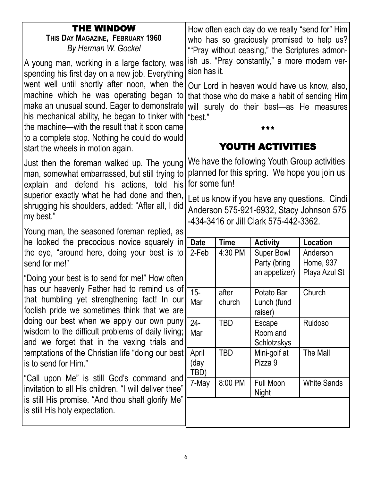| <b>THE WINDOW</b><br>THIS DAY MAGAZINE, FEBRUARY 1960<br>By Herman W. Gockel<br>A young man, working in a large factory, was<br>spending his first day on a new job. Everything<br>went well until shortly after noon, when the<br>machine which he was operating began to<br>make an unusual sound. Eager to demonstrate<br>his mechanical ability, he began to tinker with<br>the machine—with the result that it soon came<br>to a complete stop. Nothing he could do would<br>start the wheels in motion again.<br>Just then the foreman walked up. The young<br>man, somewhat embarrassed, but still trying to<br>explain and defend his actions, told his for some fun!<br>superior exactly what he had done and then,<br>shrugging his shoulders, added: "After all, I did<br>my best."<br>Young man, the seasoned foreman replied, as | How often each day do we really "send for" Him<br>who has so graciously promised to help us?<br>""Pray without ceasing," the Scriptures admon-<br>ish us. "Pray constantly," a more modern ver-<br>sion has it.<br>Our Lord in heaven would have us know, also,<br>that those who do make a habit of sending Him<br>will surely do their best-as He measures<br>"best."<br>***<br>YOUTH ACTIVITIES<br>We have the following Youth Group activities<br>planned for this spring. We hope you join us<br>Let us know if you have any questions. Cindi |             |                                             |                                        |
|-----------------------------------------------------------------------------------------------------------------------------------------------------------------------------------------------------------------------------------------------------------------------------------------------------------------------------------------------------------------------------------------------------------------------------------------------------------------------------------------------------------------------------------------------------------------------------------------------------------------------------------------------------------------------------------------------------------------------------------------------------------------------------------------------------------------------------------------------|----------------------------------------------------------------------------------------------------------------------------------------------------------------------------------------------------------------------------------------------------------------------------------------------------------------------------------------------------------------------------------------------------------------------------------------------------------------------------------------------------------------------------------------------------|-------------|---------------------------------------------|----------------------------------------|
|                                                                                                                                                                                                                                                                                                                                                                                                                                                                                                                                                                                                                                                                                                                                                                                                                                               | Anderson 575-921-6932, Stacy Johnson 575<br>-434-3416 or Jill Clark 575-442-3362.                                                                                                                                                                                                                                                                                                                                                                                                                                                                  |             |                                             |                                        |
| he looked the precocious novice squarely in                                                                                                                                                                                                                                                                                                                                                                                                                                                                                                                                                                                                                                                                                                                                                                                                   | <b>Date</b>                                                                                                                                                                                                                                                                                                                                                                                                                                                                                                                                        | <b>Time</b> | <b>Activity</b>                             | Location                               |
| the eye, "around here, doing your best is to<br>send for me!"<br>"Doing your best is to send for me!" How often                                                                                                                                                                                                                                                                                                                                                                                                                                                                                                                                                                                                                                                                                                                               | 2-Feb                                                                                                                                                                                                                                                                                                                                                                                                                                                                                                                                              | 4:30 PM     | Super Bowl<br>Party (bring<br>an appetizer) | Anderson<br>Home, 937<br>Playa Azul St |
| has our heavenly Father had to remind us of                                                                                                                                                                                                                                                                                                                                                                                                                                                                                                                                                                                                                                                                                                                                                                                                   | $15 -$                                                                                                                                                                                                                                                                                                                                                                                                                                                                                                                                             | after       | Potato Bar                                  | Church                                 |
| that humbling yet strengthening fact! In our<br>foolish pride we sometimes think that we are                                                                                                                                                                                                                                                                                                                                                                                                                                                                                                                                                                                                                                                                                                                                                  | Mar                                                                                                                                                                                                                                                                                                                                                                                                                                                                                                                                                | church      | Lunch (fund<br>raiser)                      |                                        |
| doing our best when we apply our own puny<br>wisdom to the difficult problems of daily living;<br>and we forget that in the vexing trials and                                                                                                                                                                                                                                                                                                                                                                                                                                                                                                                                                                                                                                                                                                 | $24 -$<br>Mar                                                                                                                                                                                                                                                                                                                                                                                                                                                                                                                                      | TBD         | Escape<br>Room and<br>Schlotzskys           | Ruidoso                                |
| temptations of the Christian life "doing our best<br>is to send for Him."                                                                                                                                                                                                                                                                                                                                                                                                                                                                                                                                                                                                                                                                                                                                                                     | April<br>(day<br>TBD)                                                                                                                                                                                                                                                                                                                                                                                                                                                                                                                              | TBD         | Mini-golf at<br>Pizza 9                     | The Mall                               |
| "Call upon Me" is still God's command and<br>invitation to all His children. "I will deliver thee"                                                                                                                                                                                                                                                                                                                                                                                                                                                                                                                                                                                                                                                                                                                                            | 7-May                                                                                                                                                                                                                                                                                                                                                                                                                                                                                                                                              | 8:00 PM     | Full Moon<br>Night                          | <b>White Sands</b>                     |
| is still His promise. "And thou shalt glorify Me"<br>is still His holy expectation.                                                                                                                                                                                                                                                                                                                                                                                                                                                                                                                                                                                                                                                                                                                                                           |                                                                                                                                                                                                                                                                                                                                                                                                                                                                                                                                                    |             |                                             |                                        |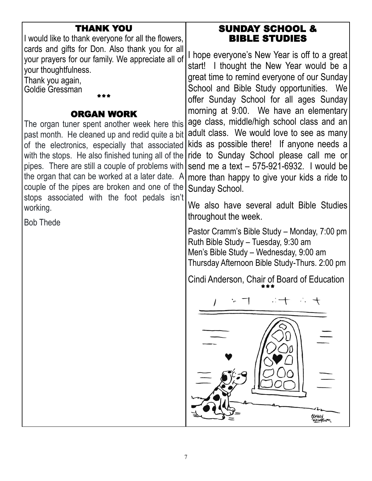|                                                                                                                                                                                                                                                                                                                                                                                                                                                                                                                                                                                                                   | <b>THANK YOU</b><br>I would like to thank everyone for all the flowers,                                                                                                                                                                                                                                                                                                                                                                                                                                                                                                     | <b>SUNDAY SCHOOL &amp;</b><br><b>BIBLE STUDIES</b>                                                                                                                             |  |  |
|-------------------------------------------------------------------------------------------------------------------------------------------------------------------------------------------------------------------------------------------------------------------------------------------------------------------------------------------------------------------------------------------------------------------------------------------------------------------------------------------------------------------------------------------------------------------------------------------------------------------|-----------------------------------------------------------------------------------------------------------------------------------------------------------------------------------------------------------------------------------------------------------------------------------------------------------------------------------------------------------------------------------------------------------------------------------------------------------------------------------------------------------------------------------------------------------------------------|--------------------------------------------------------------------------------------------------------------------------------------------------------------------------------|--|--|
| cards and gifts for Don. Also thank you for all<br>your prayers for our family. We appreciate all of<br>your thoughtfulness.<br>Thank you again,<br>Goldie Gressman<br>***<br><b>ORGAN WORK</b><br>The organ tuner spent another week here this<br>past month. He cleaned up and redid quite a bit<br>of the electronics, especially that associated<br>with the stops. He also finished tuning all of the<br>pipes. There are still a couple of problems with<br>the organ that can be worked at a later date. A<br>couple of the pipes are broken and one of the<br>stops associated with the foot pedals isn't | I hope everyone's New Year is off to a great<br>start! I thought the New Year would be a<br>great time to remind everyone of our Sunday<br>School and Bible Study opportunities. We<br>offer Sunday School for all ages Sunday<br>morning at 9:00. We have an elementary<br>age class, middle/high school class and an<br>adult class. We would love to see as many<br>kids as possible there! If anyone needs a<br>ride to Sunday School please call me or<br>send me a text $-575-921-6932$ . I would be<br>more than happy to give your kids a ride to<br>Sunday School. |                                                                                                                                                                                |  |  |
|                                                                                                                                                                                                                                                                                                                                                                                                                                                                                                                                                                                                                   |                                                                                                                                                                                                                                                                                                                                                                                                                                                                                                                                                                             |                                                                                                                                                                                |  |  |
|                                                                                                                                                                                                                                                                                                                                                                                                                                                                                                                                                                                                                   | <b>Bob Thede</b>                                                                                                                                                                                                                                                                                                                                                                                                                                                                                                                                                            | Pastor Cramm's Bible Study – Monday, 7:00 pm<br>Ruth Bible Study - Tuesday, 9:30 am<br>Men's Bible Study - Wednesday, 9:00 am<br>Thursday Afternoon Bible Study-Thurs. 2:00 pm |  |  |
|                                                                                                                                                                                                                                                                                                                                                                                                                                                                                                                                                                                                                   |                                                                                                                                                                                                                                                                                                                                                                                                                                                                                                                                                                             | Cindi Anderson, Chair of Board of Education                                                                                                                                    |  |  |
|                                                                                                                                                                                                                                                                                                                                                                                                                                                                                                                                                                                                                   |                                                                                                                                                                                                                                                                                                                                                                                                                                                                                                                                                                             | HAWKNE                                                                                                                                                                         |  |  |